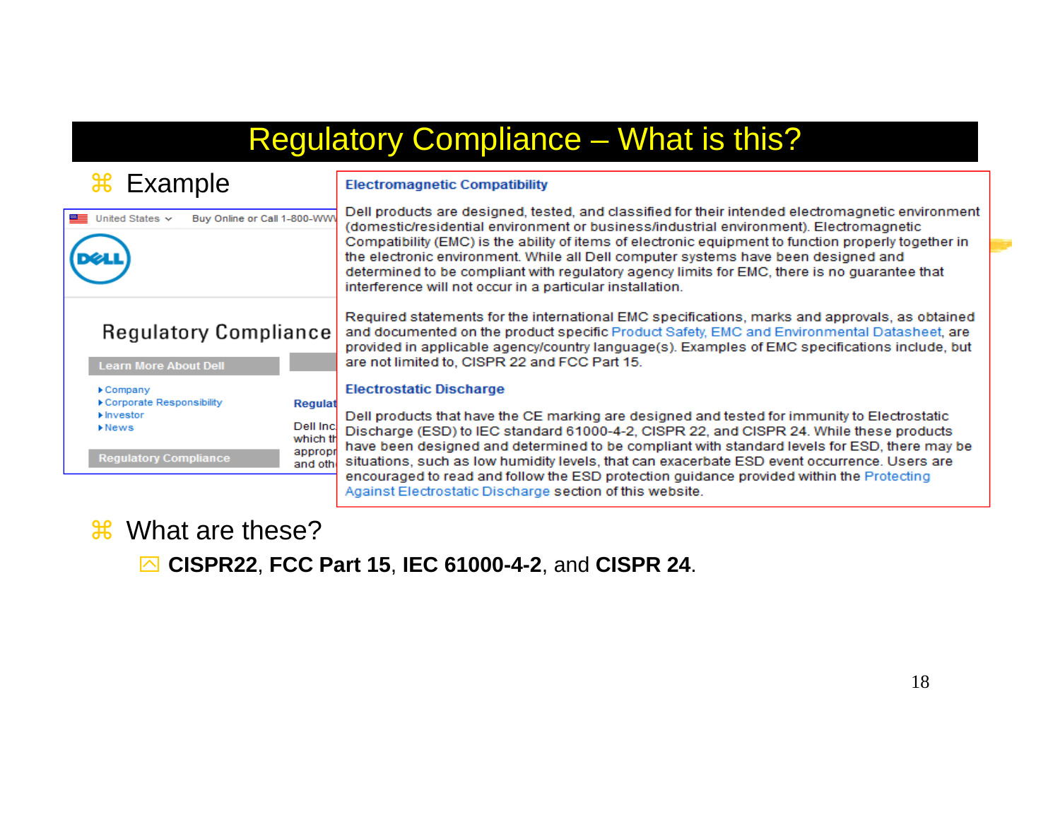### Regulatory Compliance – What is this?

#### $\mathcal{H}$ Example

# Buy Online or Call 1-800-WW United States  $\sim$ **Regulatory Compliance**

#### **Learn More About Dell** ▶ Company Corporate Responsibility **Regulat** Investor Dell Inc.  $\triangleright$  News which th appropr **Regulatory Compliance**

### **Electromagnetic Compatibility**

Dell products are designed, tested, and classified for their intended electromagnetic environment (domestic/residential environment or business/industrial environment). Electromagnetic Compatibility (EMC) is the ability of items of electronic equipment to function properly together in the electronic environment. While all Dell computer systems have been designed and determined to be compliant with regulatory agency limits for EMC, there is no quarantee that interference will not occur in a particular installation.

Required statements for the international EMC specifications, marks and approvals, as obtained and documented on the product specific Product Safety, EMC and Environmental Datasheet, are provided in applicable agency/country language(s). Examples of EMC specifications include, but are not limited to, CISPR 22 and FCC Part 15.

#### **Electrostatic Discharge**

Dell products that have the CE marking are designed and tested for immunity to Electrostatic Discharge (ESD) to IEC standard 61000-4-2, CISPR 22, and CISPR 24. While these products have been designed and determined to be compliant with standard levels for ESD, there may be situations, such as low humidity levels, that can exacerbate ESD event occurrence. Users are and oth encouraged to read and follow the ESD protection guidance provided within the Protecting Against Electrostatic Discharge section of this website.

### $\mathcal{R}$  What are these?

` **CISPR22**, **FCC Part 15**, **IEC 61000-4-2**, and **CISPR 24**.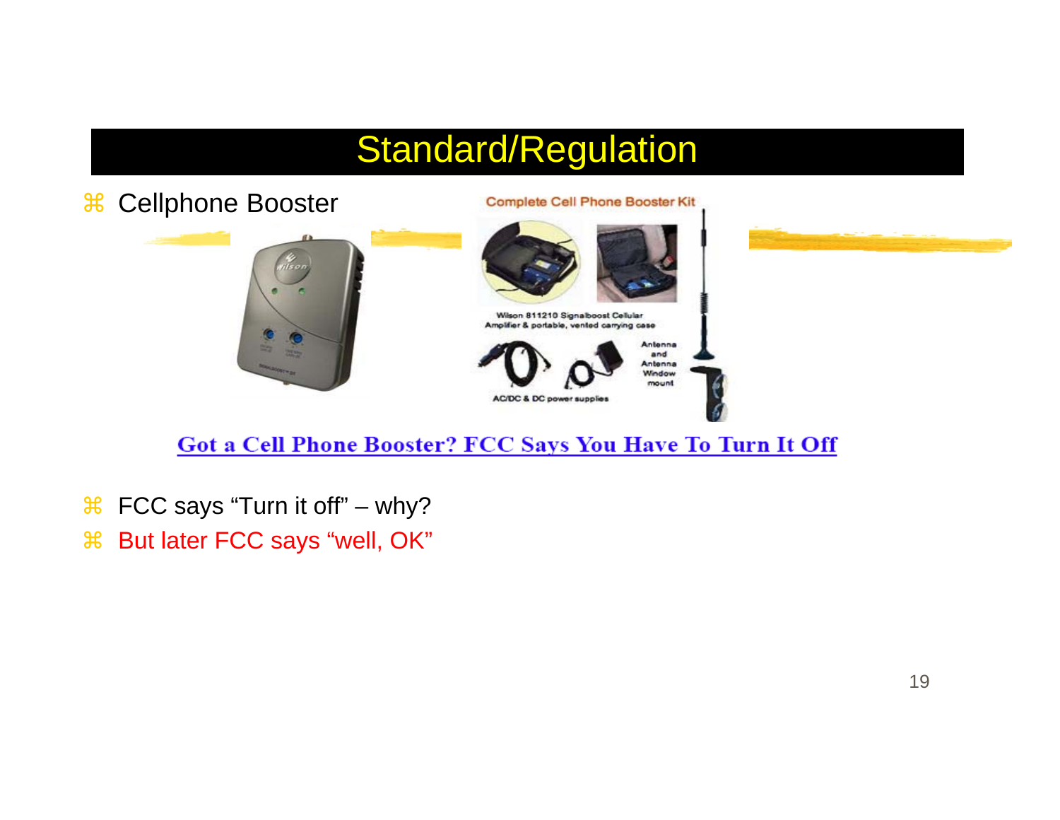# Standard/Regulation



### Got a Cell Phone Booster? FCC Says You Have To Turn It Off

- $\mathcal{H}$ FCC says "Turn it off" – why?
- $\mathcal{H}$ But later FCC says "well, OK"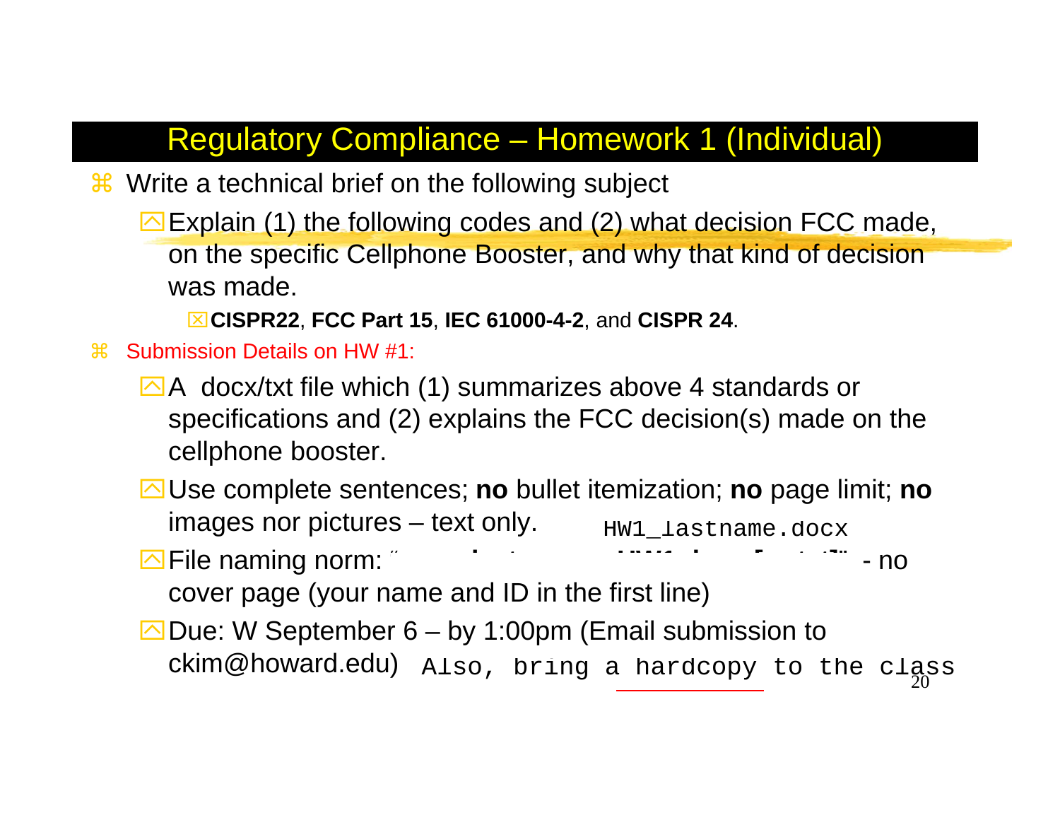### Regulatory Compliance – Homework 1 (Individual)

- <sup>36</sup> Write a technical brief on the following subject
	- $\triangleright$  Explain (1) the following codes and (2) what decision FCC made, on the specific Cellphone Booster, and why that kind of decision was made.
		- ⌧**CISPR22**, **FCC Part 15**, **IEC 61000-4-2**, and **CISPR 24**.
- $\frac{1}{26}$  Submission Details on HW #1:
	- $\Delta$ A docx/txt file which (1) summarizes above 4 standards or specifications and (2) explains the FCC decision(s) made on the cellphone booster.
	- `Use complete sentences; **no** bullet itemization; **no** page limit; **no** images nor pictures – text only.
	- **Example 18 A.1 Section** 2 A.1 Section 2 A.1 Section 2 A.1 Section 2 A.1 Section 2 A.1 Section 2 A.1 Section 2 A.1 Section 2 A.1 Section 2 A.1 Section 2 A.1 Section 2 A.1 Section 2 A.1 Section 2 A.1 Section 2 A.1 Section 2

cover page (your name and ID in the first line)

 $\Box$  Due: W September 6 – by 1:00pm (Email submission to  $\mathsf{ckim}\hspace{0.01in} \mathsf{Q} \mathsf{howard}\mathsf{.}\mathsf{edu)}$   $\mathtt{Also}$ , bring a hardcopy to the class HW1\_lastname.docx<br>http://www.communistics.communistics.communistics.communistics.communistics.communistics.communistics.communistics.communistics.communistics.communistics.communistics.communistics.communistics.communistic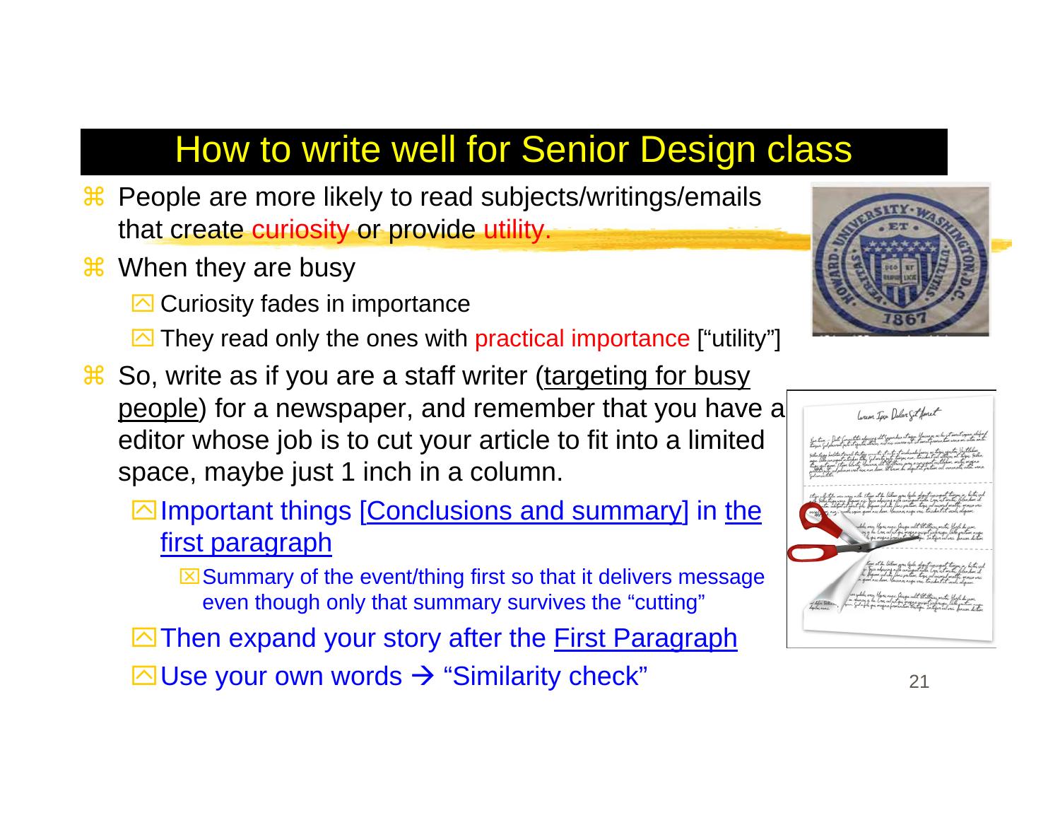# How to write well for Senior Design class

- **a People are more likely to read subjects/writings/emails** that create curiosity or provide utility.
- <sup>36</sup> When they are busy

**<sup>sqrt</sup> Curiosity fades in importance** 

- **They read only the ones with practical importance ["utility"]**
- **a So, write as if you are a staff writer (targeting for busy** people) for a newspaper, and remember that you have a editor whose job is to cut your article to fit into a limited space, maybe just 1 inch in a column.
	- $\boxdot$  Important things [Conclusions and summary] in the first paragraph

 $\boxtimes$  Summary of the event/thing first so that it delivers message even though only that summary survives the "cutting"

 $\Box$  Then expand your story after the First Paragraph

 $\boxdot$  Use your own words  $\Rightarrow$  "Similarity check"  $_{21}$ 



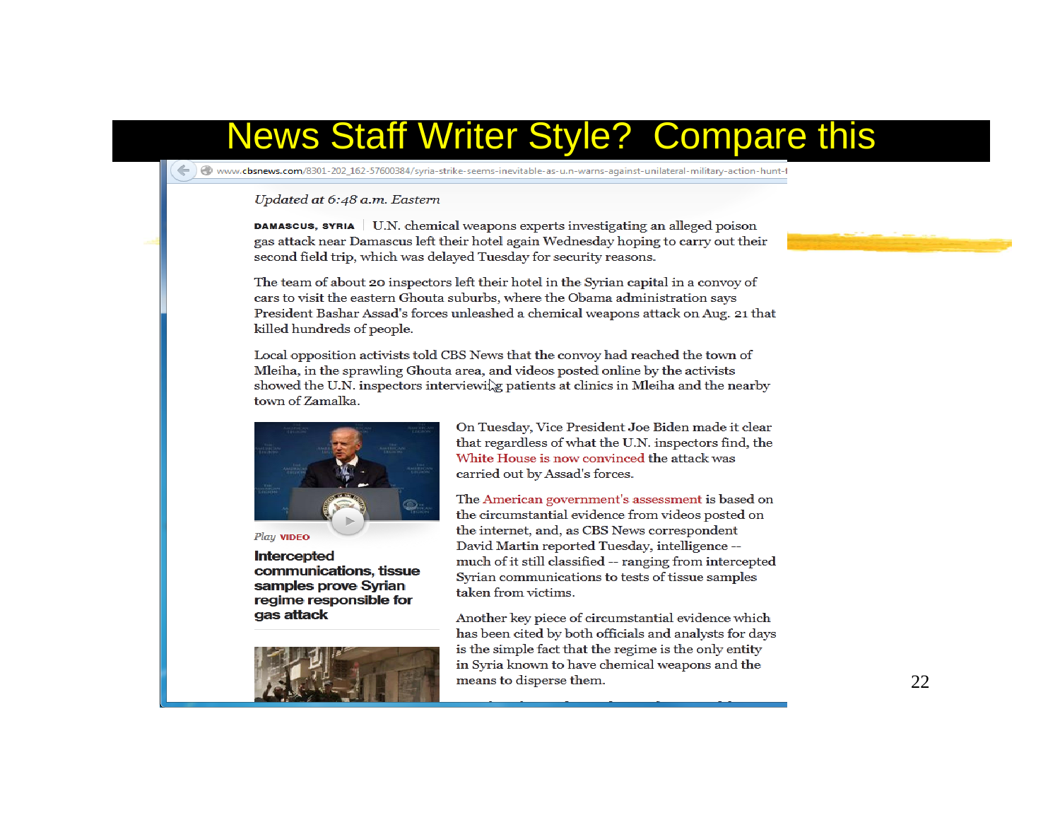## **News Staff Writer Style? Compare this**

www.cbsnews.com/8301-202\_162-57600384/syria-strike-seems-inevitable-as-u.n-warns-against-unilateral-military-action-hunt-1

#### Updated at 6:48 a.m. Eastern

**DAMASCUS, SYRIA** U.N. chemical weapons experts investigating an alleged poison gas attack near Damascus left their hotel again Wednesday hoping to carry out their second field trip, which was delayed Tuesday for security reasons.

The team of about 20 inspectors left their hotel in the Syrian capital in a convoy of cars to visit the eastern Ghouta suburbs, where the Obama administration says President Bashar Assad's forces unleashed a chemical weapons attack on Aug. 21 that killed hundreds of people.

Local opposition activists told CBS News that the convoy had reached the town of Mleiha, in the sprawling Ghouta area, and videos posted online by the activists showed the U.N. inspectors interviewille patients at clinics in Mleiha and the nearby town of Zamalka.





Intercepted communications, tissue samples prove Syrian regime responsible for gas attack



On Tuesday, Vice President Joe Biden made it clear that regardless of what the U.N. inspectors find, the White House is now convinced the attack was carried out by Assad's forces.

The American government's assessment is based on the circumstantial evidence from videos posted on the internet, and, as CBS News correspondent David Martin reported Tuesday, intelligence -much of it still classified -- ranging from intercepted Syrian communications to tests of tissue samples taken from victims.

Another key piece of circumstantial evidence which has been cited by both officials and analysts for days is the simple fact that the regime is the only entity in Syria known to have chemical weapons and the means to disperse them.

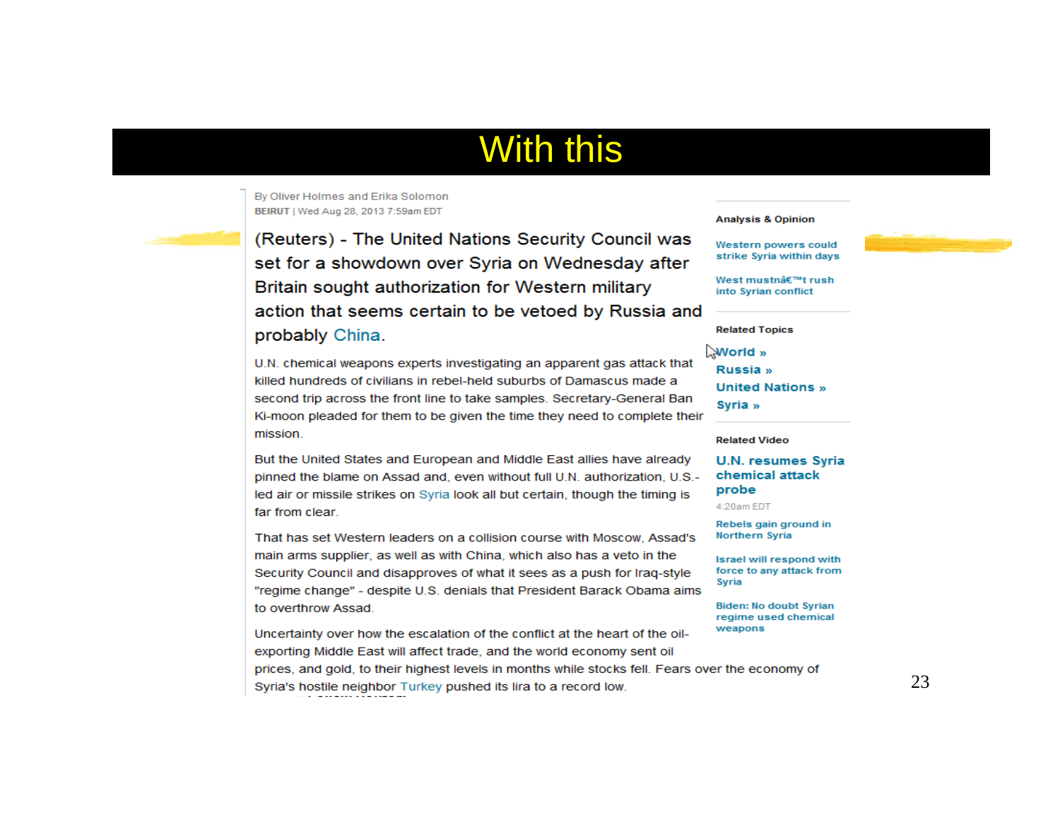## **With this**

By Oliver Holmes and Erika Solomon BEIRUT | Wed Aug 28, 2013 7:59am EDT

(Reuters) - The United Nations Security Council was set for a showdown over Syria on Wednesday after Britain sought authorization for Western military action that seems certain to be vetoed by Russia and probably China.

U.N. chemical weapons experts investigating an apparent gas attack that killed hundreds of civilians in rebel-held suburbs of Damascus made a second trip across the front line to take samples. Secretary-General Ban Ki-moon pleaded for them to be given the time they need to complete their mission.

But the United States and European and Middle East allies have already pinned the blame on Assad and, even without full U.N. authorization, U.S.led air or missile strikes on Syria look all but certain, though the timing is far from clear.

That has set Western leaders on a collision course with Moscow, Assad's main arms supplier, as well as with China, which also has a veto in the Security Council and disapproves of what it sees as a push for Iraq-style "regime change" - despite U.S. denials that President Barack Obama aims to overthrow Assad.

Uncertainty over how the escalation of the conflict at the heart of the oilexporting Middle East will affect trade, and the world economy sent oil prices, and gold, to their highest levels in months while stocks fell. Fears over the economy of Syria's hostile neighbor Turkey pushed its lira to a record low.

#### **Analysis & Opinion**

Western powers could strike Syria within days



West mustn候t rush into Syrian conflict

#### **Related Topics**

World »

Russia » **United Nations »** Syria »

#### **Related Video**

**U.N. resumes Syria** chemical attack probe

4:20am EDT

Rebels gain ground in Northern Syria

**Israel will respond with** force to any attack from Syria

**Biden: No doubt Syrian** regime used chemical weapons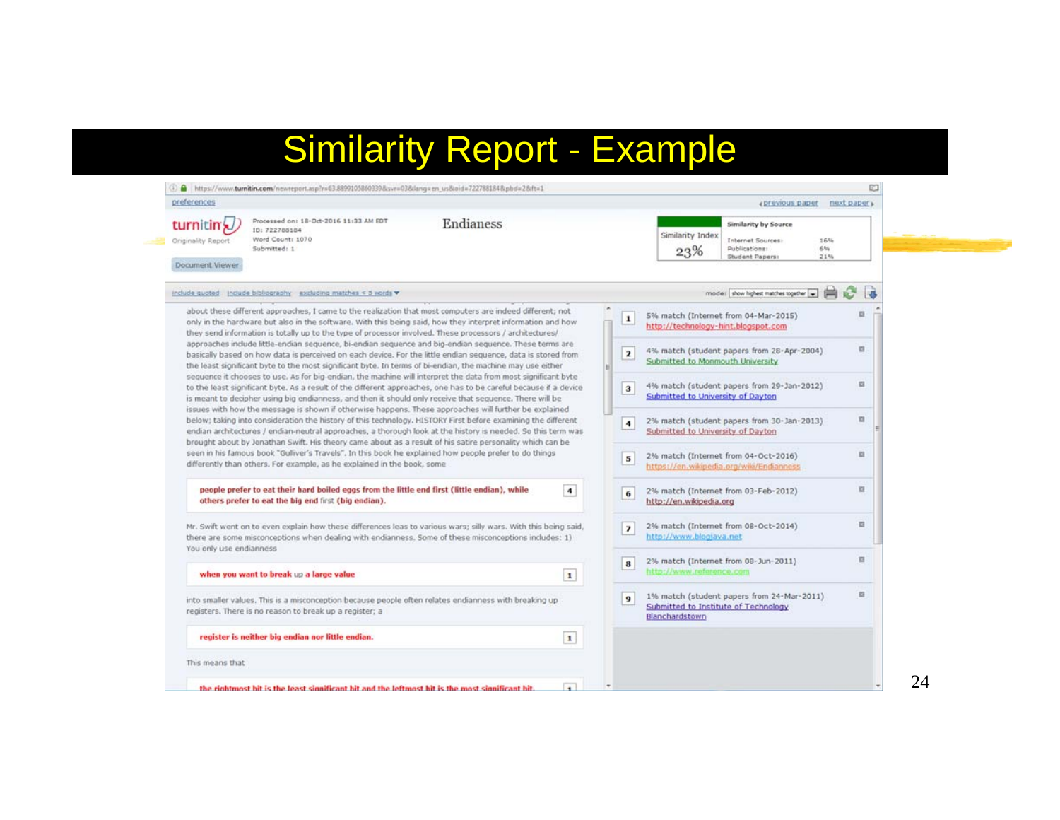## Similarity Report - Example